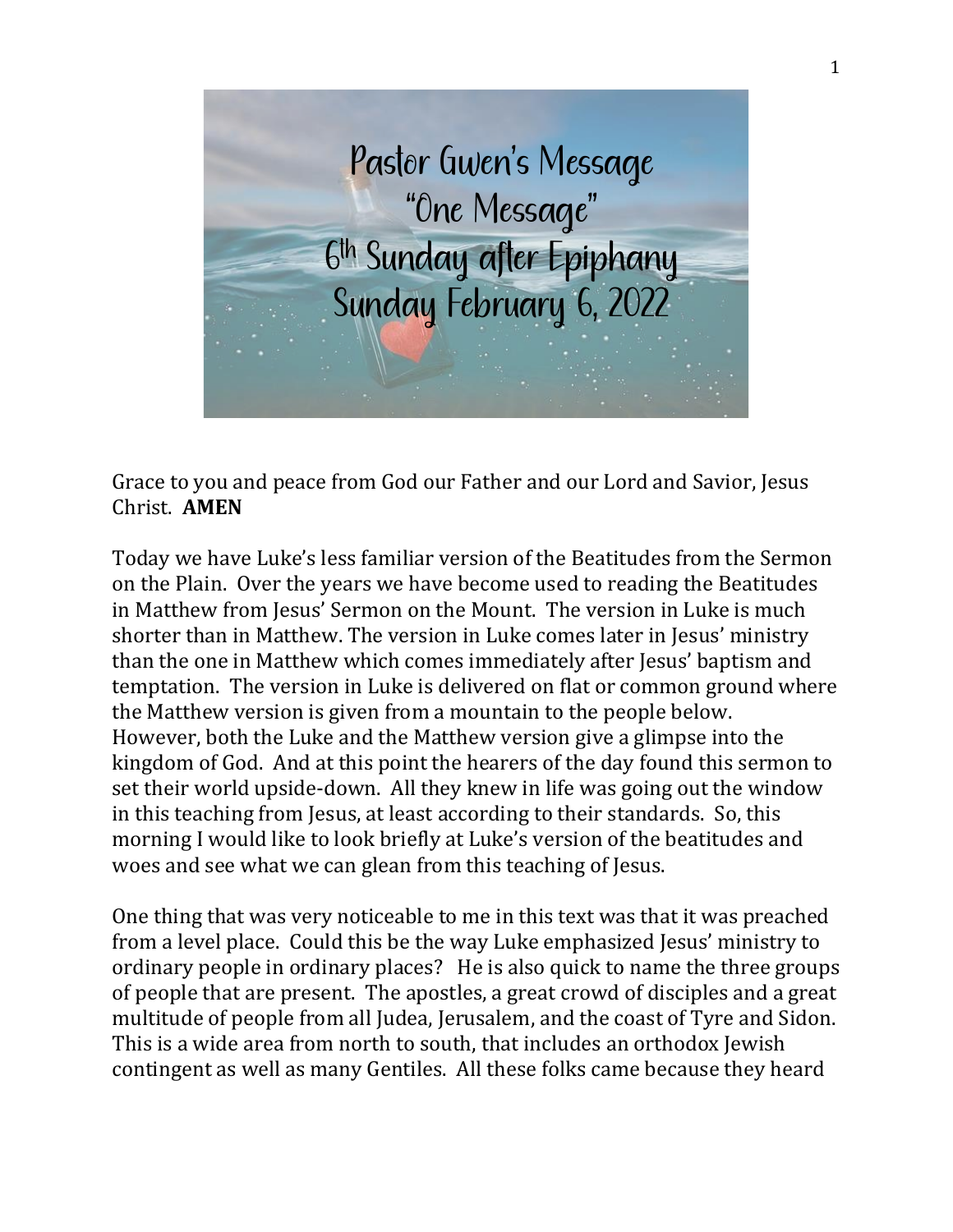

Grace to you and peace from God our Father and our Lord and Savior, Jesus Christ. **AMEN**

Today we have Luke's less familiar version of the Beatitudes from the Sermon on the Plain. Over the years we have become used to reading the Beatitudes in Matthew from Jesus' Sermon on the Mount. The version in Luke is much shorter than in Matthew. The version in Luke comes later in Jesus' ministry than the one in Matthew which comes immediately after Jesus' baptism and temptation. The version in Luke is delivered on flat or common ground where the Matthew version is given from a mountain to the people below. However, both the Luke and the Matthew version give a glimpse into the kingdom of God. And at this point the hearers of the day found this sermon to set their world upside-down. All they knew in life was going out the window in this teaching from Jesus, at least according to their standards. So, this morning I would like to look briefly at Luke's version of the beatitudes and woes and see what we can glean from this teaching of Jesus.

One thing that was very noticeable to me in this text was that it was preached from a level place. Could this be the way Luke emphasized Jesus' ministry to ordinary people in ordinary places? He is also quick to name the three groups of people that are present. The apostles, a great crowd of disciples and a great multitude of people from all Judea, Jerusalem, and the coast of Tyre and Sidon. This is a wide area from north to south, that includes an orthodox Jewish contingent as well as many Gentiles. All these folks came because they heard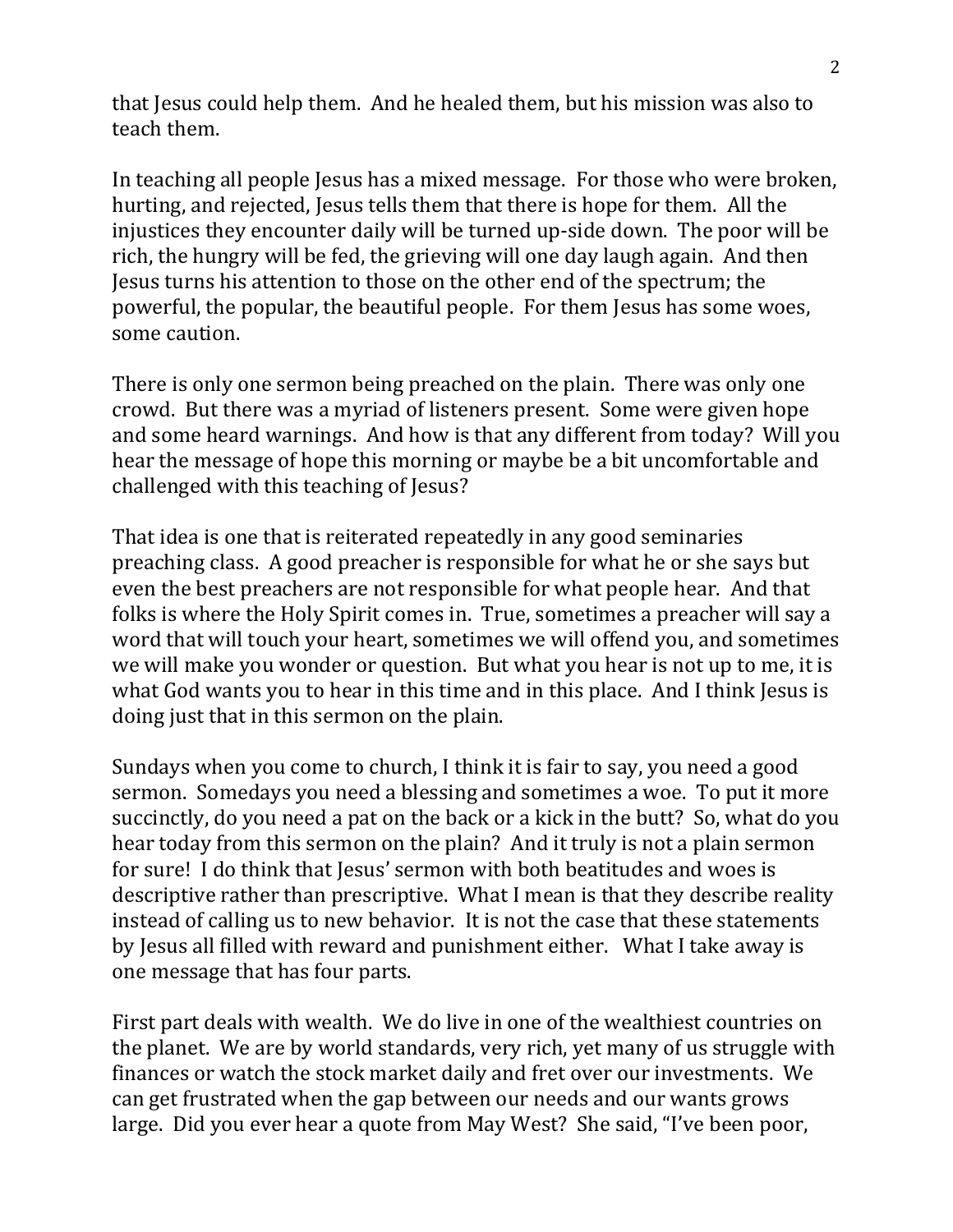that Jesus could help them. And he healed them, but his mission was also to teach them.

In teaching all people Jesus has a mixed message. For those who were broken, hurting, and rejected, Jesus tells them that there is hope for them. All the injustices they encounter daily will be turned up-side down. The poor will be rich, the hungry will be fed, the grieving will one day laugh again. And then Jesus turns his attention to those on the other end of the spectrum; the powerful, the popular, the beautiful people. For them Jesus has some woes, some caution.

There is only one sermon being preached on the plain. There was only one crowd. But there was a myriad of listeners present. Some were given hope and some heard warnings. And how is that any different from today? Will you hear the message of hope this morning or maybe be a bit uncomfortable and challenged with this teaching of Jesus?

That idea is one that is reiterated repeatedly in any good seminaries preaching class. A good preacher is responsible for what he or she says but even the best preachers are not responsible for what people hear. And that folks is where the Holy Spirit comes in. True, sometimes a preacher will say a word that will touch your heart, sometimes we will offend you, and sometimes we will make you wonder or question. But what you hear is not up to me, it is what God wants you to hear in this time and in this place. And I think Jesus is doing just that in this sermon on the plain.

Sundays when you come to church, I think it is fair to say, you need a good sermon. Somedays you need a blessing and sometimes a woe. To put it more succinctly, do you need a pat on the back or a kick in the butt? So, what do you hear today from this sermon on the plain? And it truly is not a plain sermon for sure! I do think that Jesus' sermon with both beatitudes and woes is descriptive rather than prescriptive. What I mean is that they describe reality instead of calling us to new behavior. It is not the case that these statements by Jesus all filled with reward and punishment either. What I take away is one message that has four parts.

First part deals with wealth. We do live in one of the wealthiest countries on the planet. We are by world standards, very rich, yet many of us struggle with finances or watch the stock market daily and fret over our investments. We can get frustrated when the gap between our needs and our wants grows large. Did you ever hear a quote from May West? She said, "I've been poor,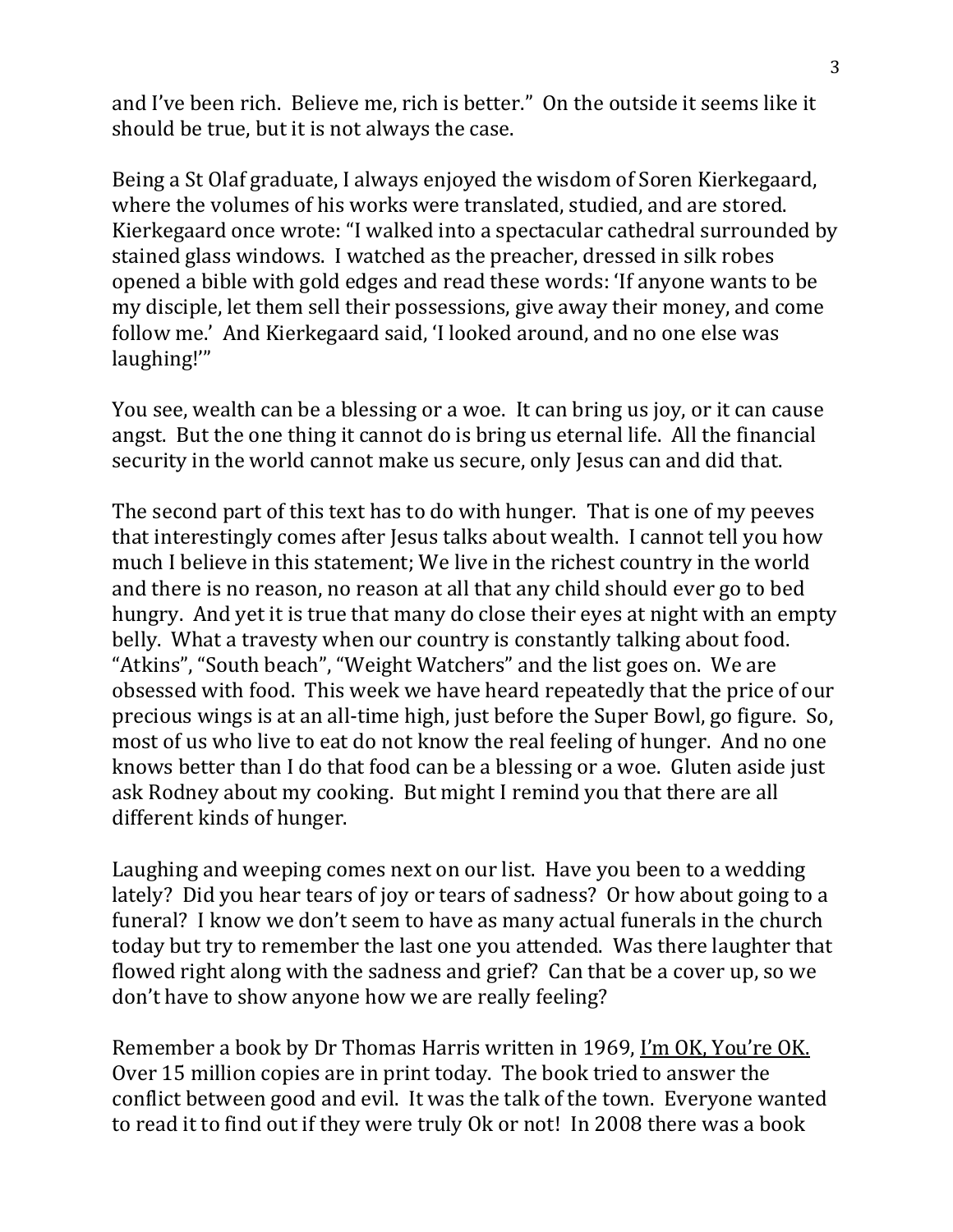and I've been rich. Believe me, rich is better." On the outside it seems like it should be true, but it is not always the case.

Being a St Olaf graduate, I always enjoyed the wisdom of Soren Kierkegaard, where the volumes of his works were translated, studied, and are stored. Kierkegaard once wrote: "I walked into a spectacular cathedral surrounded by stained glass windows. I watched as the preacher, dressed in silk robes opened a bible with gold edges and read these words: 'If anyone wants to be my disciple, let them sell their possessions, give away their money, and come follow me.' And Kierkegaard said, 'I looked around, and no one else was laughing!'"

You see, wealth can be a blessing or a woe. It can bring us joy, or it can cause angst. But the one thing it cannot do is bring us eternal life. All the financial security in the world cannot make us secure, only Jesus can and did that.

The second part of this text has to do with hunger. That is one of my peeves that interestingly comes after Jesus talks about wealth. I cannot tell you how much I believe in this statement; We live in the richest country in the world and there is no reason, no reason at all that any child should ever go to bed hungry. And yet it is true that many do close their eyes at night with an empty belly. What a travesty when our country is constantly talking about food. "Atkins", "South beach", "Weight Watchers" and the list goes on. We are obsessed with food. This week we have heard repeatedly that the price of our precious wings is at an all-time high, just before the Super Bowl, go figure. So, most of us who live to eat do not know the real feeling of hunger. And no one knows better than I do that food can be a blessing or a woe. Gluten aside just ask Rodney about my cooking. But might I remind you that there are all different kinds of hunger.

Laughing and weeping comes next on our list. Have you been to a wedding lately? Did you hear tears of joy or tears of sadness? Or how about going to a funeral? I know we don't seem to have as many actual funerals in the church today but try to remember the last one you attended. Was there laughter that flowed right along with the sadness and grief? Can that be a cover up, so we don't have to show anyone how we are really feeling?

Remember a book by Dr Thomas Harris written in 1969, I'm OK, You're OK. Over 15 million copies are in print today. The book tried to answer the conflict between good and evil. It was the talk of the town. Everyone wanted to read it to find out if they were truly Ok or not! In 2008 there was a book